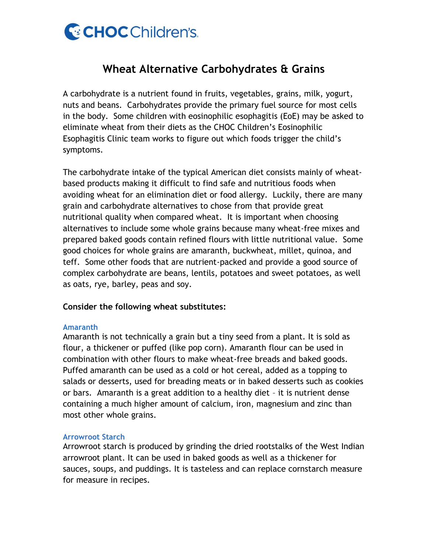

# **Wheat Alternative Carbohydrates & Grains**

A carbohydrate is a nutrient found in fruits, vegetables, grains, milk, yogurt, nuts and beans. Carbohydrates provide the primary fuel source for most cells in the body. Some children with eosinophilic esophagitis (EoE) may be asked to eliminate wheat from their diets as the CHOC Children's Eosinophilic Esophagitis Clinic team works to figure out which foods trigger the child's symptoms.

The carbohydrate intake of the typical American diet consists mainly of wheatbased products making it difficult to find safe and nutritious foods when avoiding wheat for an elimination diet or food allergy. Luckily, there are many grain and carbohydrate alternatives to chose from that provide great nutritional quality when compared wheat. It is important when choosing alternatives to include some whole grains because many wheat-free mixes and prepared baked goods contain refined flours with little nutritional value. Some good choices for whole grains are amaranth, buckwheat, millet, quinoa, and teff. Some other foods that are nutrient-packed and provide a good source of complex carbohydrate are beans, lentils, potatoes and sweet potatoes, as well as oats, rye, barley, peas and soy.

# **Consider the following wheat substitutes:**

## **Amaranth**

Amaranth is not technically a grain but a tiny seed from a plant. It is sold as flour, a thickener or puffed (like pop corn). Amaranth flour can be used in combination with other flours to make wheat-free breads and baked goods. Puffed amaranth can be used as a cold or hot cereal, added as a topping to salads or desserts, used for breading meats or in baked desserts such as cookies or bars. Amaranth is a great addition to a healthy diet – it is nutrient dense containing a much higher amount of calcium, iron, magnesium and zinc than most other whole grains.

## **Arrowroot Starch**

Arrowroot starch is produced by grinding the dried rootstalks of the West Indian arrowroot plant. It can be used in baked goods as well as a thickener for sauces, soups, and puddings. It is tasteless and can replace cornstarch measure for measure in recipes.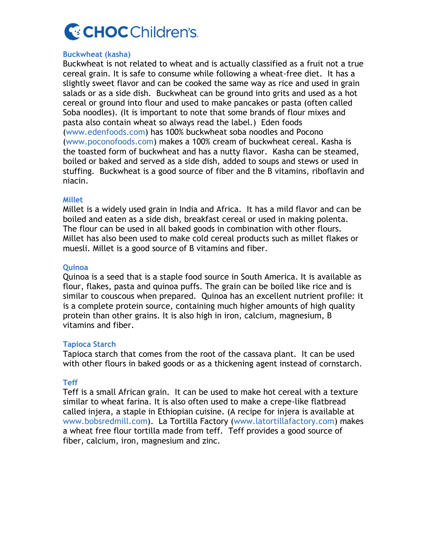

## **Buckwheat (kasha)**

Buckwheat is not related to wheat and is actually classified as a fruit not a true cereal grain. It is safe to consume while following a wheat-free diet. It has a slightly sweet flavor and can be cooked the same way as rice and used in grain salads or as a side dish. Buckwheat can be ground into grits and used as a hot cereal or ground into flour and used to make pancakes or pasta (often called Soba noodles). (It is important to note that some brands of flour mixes and pasta also contain wheat so always read the label.) Eden foods (www.edenfoods.com) has 100% buckwheat soba noodles and Pocono (www.poconofoods.com) makes a 100% cream of buckwheat cereal. Kasha is the toasted form of buckwheat and has a nutty flavor. Kasha can be steamed, boiled or baked and served as a side dish, added to soups and stews or used in stuffing. Buckwheat is a good source of fiber and the B vitamins, riboflavin and niacin.

## **Millet**

Millet is a widely used grain in India and Africa. It has a mild flavor and can be boiled and eaten as a side dish, breakfast cereal or used in making polenta. The flour can be used in all baked goods in combination with other flours. Millet has also been used to make cold cereal products such as millet flakes or muesli. Millet is a good source of B vitamins and fiber.

## **Quinoa**

Quinoa is a seed that is a staple food source in South America. It is available as flour, flakes, pasta and quinoa puffs. The grain can be boiled like rice and is similar to couscous when prepared. Quinoa has an excellent nutrient profile: it is a complete protein source, containing much higher amounts of high quality protein than other grains. It is also high in iron, calcium, magnesium, B vitamins and fiber.

# **Tapioca Starch**

Tapioca starch that comes from the root of the cassava plant. It can be used with other flours in baked goods or as a thickening agent instead of cornstarch.

# **Teff**

Teff is a small African grain. It can be used to make hot cereal with a texture similar to wheat farina. It is also often used to make a crepe-like flatbread called injera, a staple in Ethiopian cuisine. (A recipe for injera is available at www.bobsredmill.com). La Tortilla Factory (www.latortillafactory.com) makes a wheat free flour tortilla made from teff. Teff provides a good source of fiber, calcium, iron, magnesium and zinc.